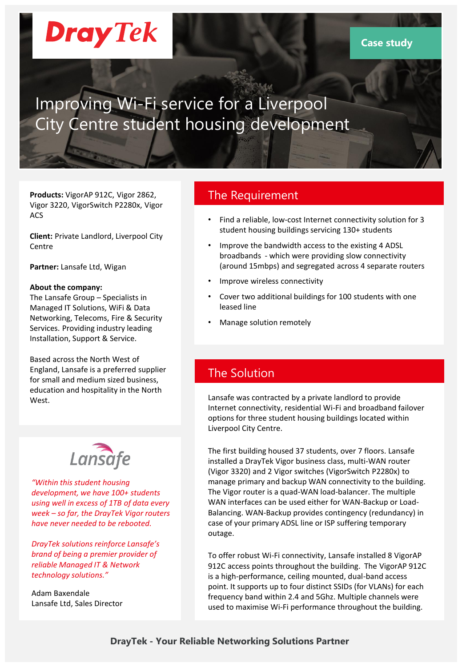# **Dray** Tek

### Improving Wi-Fi service for a Liverpool City Centre student housing development

**Products:** VigorAP 912C, Vigor 2862, Vigor 3220, VigorSwitch P2280x, Vigor ACS

**Client:** Private Landlord, Liverpool City Centre

**Partner:** Lansafe Ltd, Wigan

#### **About the company:**

The Lansafe Group – Specialists in Managed IT Solutions, WiFi & Data Networking, Telecoms, Fire & Security Services. Providing industry leading Installation, Support & Service.

Based across the North West of England, Lansafe is a preferred supplier for small and medium sized business, education and hospitality in the North West.



*"Within this student housing development, we have 100+ students using well in excess of 1TB of data every week – so far, the DrayTek Vigor routers have never needed to be rebooted.*

*DrayTek solutions reinforce Lansafe's brand of being a premier provider of reliable Managed IT & Network technology solutions."*

Adam Baxendale Lansafe Ltd, Sales Director

#### The Requirement

- Find a reliable, low-cost Internet connectivity solution for 3 student housing buildings servicing 130+ students
- Improve the bandwidth access to the existing 4 ADSL broadbands - which were providing slow connectivity (around 15mbps) and segregated across 4 separate routers
- Improve wireless connectivity
- Cover two additional buildings for 100 students with one leased line
- Manage solution remotely

### The Solution

Lansafe was contracted by a private landlord to provide Internet connectivity, residential Wi-Fi and broadband failover options for three student housing buildings located within Liverpool City Centre.

The first building housed 37 students, over 7 floors. Lansafe installed a DrayTek Vigor business class, multi-WAN router (Vigor 3320) and 2 Vigor switches (VigorSwitch P2280x) to manage primary and backup WAN connectivity to the building. The Vigor router is a quad-WAN load-balancer. The multiple WAN interfaces can be used either for WAN-Backup or Load-Balancing. WAN-Backup provides contingency (redundancy) in case of your primary ADSL line or ISP suffering temporary outage.

To offer robust Wi-Fi connectivity, Lansafe installed 8 VigorAP 912C access points throughout the building. The VigorAP 912C is a high-performance, ceiling mounted, dual-band access point. It supports up to four distinct SSIDs (for VLANs) for each frequency band within 2.4 and 5Ghz. Multiple channels were used to maximise Wi-Fi performance throughout the building.